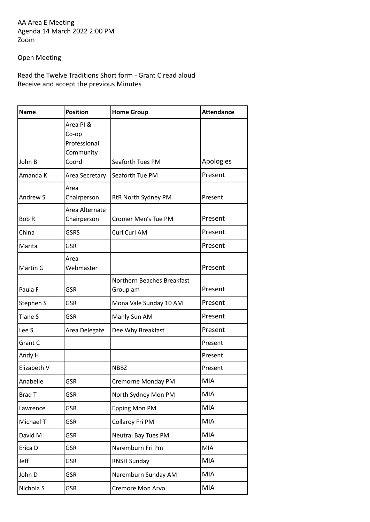AA Area E Meeting Agenda 14 March 2022 2:00 PM Zoom

## Open Meeting

## Read the Twelve Traditions Short form - Grant C read aloud Receive and accept the previous Minutes

| <b>Name</b>  | <b>Position</b>                                 | <b>Home Group</b>                      | <b>Attendance</b> |
|--------------|-------------------------------------------------|----------------------------------------|-------------------|
|              | Area PI &<br>Co-op<br>Professional<br>Community |                                        |                   |
| John B       | Coord                                           | Seaforth Tues PM                       | Apologies         |
| Amanda K     | Area Secretary                                  | Seaforth Tue PM                        | Present           |
| Andrew S     | Area<br>Chairperson                             | RtR North Sydney PM                    | Present           |
| <b>Bob R</b> | Area Alternate<br>Chairperson                   | Cromer Men's Tue PM                    | Present           |
| China        | <b>GSRS</b>                                     | Curl Curl AM                           | Present           |
| Marita       | <b>GSR</b>                                      |                                        | Present           |
| Martin G     | Area<br>Webmaster                               |                                        | Present           |
| Paula F      | <b>GSR</b>                                      | Northern Beaches Breakfast<br>Group am | Present           |
| Stephen S    | GSR                                             | Mona Vale Sunday 10 AM                 | Present           |
| Tiane S      | <b>GSR</b>                                      | Manly Sun AM                           | Present           |
| Lee S        | Area Delegate                                   | Dee Why Breakfast                      | Present           |
| Grant C      |                                                 |                                        | Present           |
| Andy H       |                                                 |                                        | Present           |
| Elizabeth V  |                                                 | <b>NBBZ</b>                            | Present           |
| lAnabelle    | <b>GSR</b>                                      | Cremorne Monday PM                     | MIA               |
| Brad T       | <b>GSR</b>                                      | North Sydney Mon PM                    | <b>MIA</b>        |
| Lawrence     | <b>GSR</b>                                      | <b>Epping Mon PM</b>                   | <b>MIA</b>        |
| Michael T    | <b>GSR</b>                                      | Collaroy Fri PM                        | <b>MIA</b>        |
| David M      | <b>GSR</b>                                      | <b>Neutral Bay Tues PM</b>             | <b>MIA</b>        |
| Erica D      | GSR                                             | Naremburn Fri Pm                       | MIA               |
| Jeff         | <b>GSR</b>                                      | <b>RNSH Sunday</b>                     | <b>MIA</b>        |
| John D       | <b>GSR</b>                                      | Naremburn Sunday AM                    | <b>MIA</b>        |
| Nichola S    | <b>GSR</b>                                      | Cremore Mon Arvo                       | <b>MIA</b>        |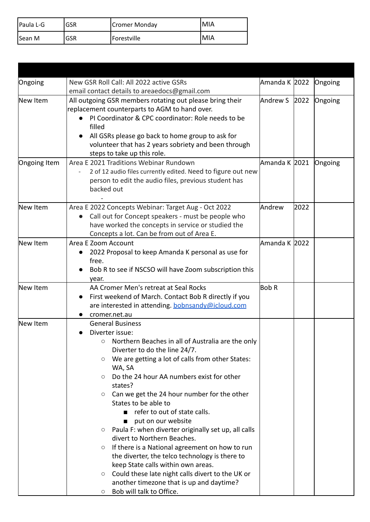| Paula L-G | GSR | Cromer Monday | 'MIA |
|-----------|-----|---------------|------|
| ISean M   | GSR | Forestville   | IMIA |

| Ongoing      | New GSR Roll Call: All 2022 active GSRs                                                           | Amanda K 2022 |      | Ongoing |
|--------------|---------------------------------------------------------------------------------------------------|---------------|------|---------|
|              | email contact details to areaedocs@gmail.com                                                      |               |      |         |
| New Item     | All outgoing GSR members rotating out please bring their                                          | Andrew S      | 2022 | Ongoing |
|              | replacement counterparts to AGM to hand over.                                                     |               |      |         |
|              | PI Coordinator & CPC coordinator: Role needs to be                                                |               |      |         |
|              | filled                                                                                            |               |      |         |
|              | All GSRs please go back to home group to ask for                                                  |               |      |         |
|              | volunteer that has 2 years sobriety and been through                                              |               |      |         |
|              | steps to take up this role.<br>Area E 2021 Traditions Webinar Rundown                             |               |      |         |
| Ongoing Item | 2 of 12 audio files currently edited. Need to figure out new                                      | Amanda K 2021 |      | Ongoing |
|              | person to edit the audio files, previous student has                                              |               |      |         |
|              | backed out                                                                                        |               |      |         |
|              |                                                                                                   |               |      |         |
| New Item     | Area E 2022 Concepts Webinar: Target Aug - Oct 2022                                               | Andrew        | 2022 |         |
|              | Call out for Concept speakers - must be people who<br>$\bullet$                                   |               |      |         |
|              | have worked the concepts in service or studied the                                                |               |      |         |
|              | Concepts a lot. Can be from out of Area E.                                                        |               |      |         |
| New Item     | Area E Zoom Account                                                                               | Amanda K 2022 |      |         |
|              | 2022 Proposal to keep Amanda K personal as use for                                                |               |      |         |
|              | free.                                                                                             |               |      |         |
|              | Bob R to see if NSCSO will have Zoom subscription this                                            |               |      |         |
|              | year.                                                                                             |               |      |         |
| New Item     | AA Cromer Men's retreat at Seal Rocks                                                             | <b>Bob R</b>  |      |         |
|              | First weekend of March. Contact Bob R directly if you                                             |               |      |         |
|              | are interested in attending. bobnsandy@icloud.com<br>cromer.net.au                                |               |      |         |
| New Item     | <b>General Business</b>                                                                           |               |      |         |
|              | Diverter issue:                                                                                   |               |      |         |
|              | $\circ$ Northern Beaches in all of Australia are the only                                         |               |      |         |
|              | Diverter to do the line 24/7.                                                                     |               |      |         |
|              | We are getting a lot of calls from other States:<br>$\circ$                                       |               |      |         |
|              | WA, SA                                                                                            |               |      |         |
|              | Do the 24 hour AA numbers exist for other<br>$\circ$                                              |               |      |         |
|              | states?                                                                                           |               |      |         |
|              | Can we get the 24 hour number for the other<br>$\circ$                                            |               |      |         |
|              | States to be able to                                                                              |               |      |         |
|              | refer to out of state calls.<br>п                                                                 |               |      |         |
|              | put on our website<br>п                                                                           |               |      |         |
|              | Paula F: when diverter originally set up, all calls<br>O                                          |               |      |         |
|              | divert to Northern Beaches.                                                                       |               |      |         |
|              | If there is a National agreement on how to run<br>$\circ$                                         |               |      |         |
|              | the diverter, the telco technology is there to                                                    |               |      |         |
|              | keep State calls within own areas.<br>Could these late night calls divert to the UK or<br>$\circ$ |               |      |         |
|              | another timezone that is up and daytime?                                                          |               |      |         |
|              | Bob will talk to Office.<br>$\circ$                                                               |               |      |         |
|              |                                                                                                   |               |      |         |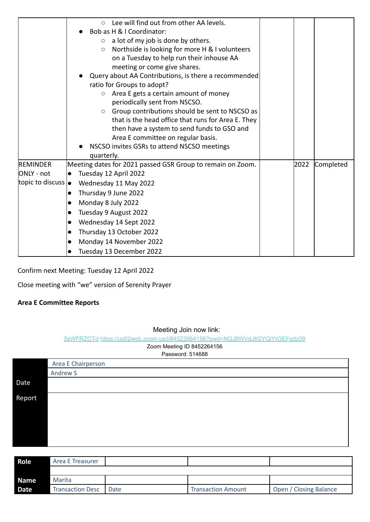|                                                 | Lee will find out from other AA levels.<br>$\circ$<br>Bob as H & I Coordinator:<br>a lot of my job is done by others.<br>$\circ$<br>Northside is looking for more H & I volunteers<br>$\circlearrowright$<br>on a Tuesday to help run their inhouse AA<br>meeting or come give shares.<br>Query about AA Contributions, is there a recommended<br>ratio for Groups to adopt?<br>Area E gets a certain amount of money<br>$\circlearrowright$<br>periodically sent from NSCSO.<br>Group contributions should be sent to NSCSO as<br>$\circ$<br>that is the head office that runs for Area E. They<br>then have a system to send funds to GSO and<br>Area E committee on regular basis.<br>NSCSO invites GSRs to attend NSCSO meetings<br>quarterly. |      |           |
|-------------------------------------------------|----------------------------------------------------------------------------------------------------------------------------------------------------------------------------------------------------------------------------------------------------------------------------------------------------------------------------------------------------------------------------------------------------------------------------------------------------------------------------------------------------------------------------------------------------------------------------------------------------------------------------------------------------------------------------------------------------------------------------------------------------|------|-----------|
| <b>REMINDER</b>                                 | Meeting dates for 2021 passed GSR Group to remain on Zoom.                                                                                                                                                                                                                                                                                                                                                                                                                                                                                                                                                                                                                                                                                         | 2022 | Completed |
| <b>ONLY</b> - not                               | Tuesday 12 April 2022<br>$\bullet$                                                                                                                                                                                                                                                                                                                                                                                                                                                                                                                                                                                                                                                                                                                 |      |           |
| topic to discuss $\left  \bullet \right\rangle$ | Wednesday 11 May 2022                                                                                                                                                                                                                                                                                                                                                                                                                                                                                                                                                                                                                                                                                                                              |      |           |
|                                                 | Thursday 9 June 2022<br>$\bullet$                                                                                                                                                                                                                                                                                                                                                                                                                                                                                                                                                                                                                                                                                                                  |      |           |
|                                                 | Monday 8 July 2022<br>$\bullet$                                                                                                                                                                                                                                                                                                                                                                                                                                                                                                                                                                                                                                                                                                                    |      |           |
|                                                 | Tuesday 9 August 2022<br>$\bullet$                                                                                                                                                                                                                                                                                                                                                                                                                                                                                                                                                                                                                                                                                                                 |      |           |
|                                                 | Wednesday 14 Sept 2022<br>$\bullet$                                                                                                                                                                                                                                                                                                                                                                                                                                                                                                                                                                                                                                                                                                                |      |           |
|                                                 | Thursday 13 October 2022<br>$\bullet$                                                                                                                                                                                                                                                                                                                                                                                                                                                                                                                                                                                                                                                                                                              |      |           |
|                                                 | Monday 14 November 2022<br>$\bullet$                                                                                                                                                                                                                                                                                                                                                                                                                                                                                                                                                                                                                                                                                                               |      |           |
|                                                 | Tuesday 13 December 2022<br>$\bullet$                                                                                                                                                                                                                                                                                                                                                                                                                                                                                                                                                                                                                                                                                                              |      |           |

Confirm next Meeting: Tuesday 12 April 2022

Close meeting with "we" version of Serenity Prayer

## **Area E Committee Reports**

**0**Meeting Join now link:

5sWFRZOTd [https://us02web.zoom.us/j/84522664156?pwd=NGJ6WVdJK0YQjYrOEFqdz09](https://areaeeraa.us8.list-manage.com/track/click?u=f444b99e39dab65c21f34a841&id=1fae34705f&e=0270ff8e13)

Zoom Meeting ID 8452264156 Password: 514688

|        | . <i></i>          |
|--------|--------------------|
|        | Area E Chairperson |
|        | <b>Andrew S</b>    |
| Date   |                    |
| Report |                    |
|        |                    |
|        |                    |
|        |                    |
|        |                    |

| Role        | Area E Treasurer        |      |                           |                               |
|-------------|-------------------------|------|---------------------------|-------------------------------|
|             |                         |      |                           |                               |
| <b>Name</b> | Marita                  |      |                           |                               |
| Date        | <b>Transaction Desc</b> | Date | <b>Transaction Amount</b> | <b>Open / Closing Balance</b> |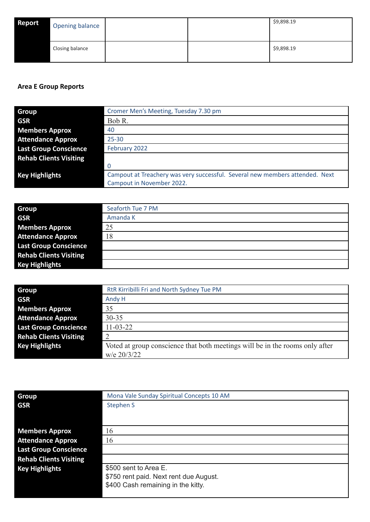| Report | <b>Opening balance</b> |  | \$9,898.19 |
|--------|------------------------|--|------------|
|        | Closing balance        |  | \$9,898.19 |

## **Area E Group Reports**

| <b>Group</b>                  | Cromer Men's Meeting, Tuesday 7.30 pm                                        |  |
|-------------------------------|------------------------------------------------------------------------------|--|
| <b>GSR</b>                    | Bob R.                                                                       |  |
| <b>Members Approx</b>         | 40                                                                           |  |
| <b>Attendance Approx</b>      | $25 - 30$                                                                    |  |
| <b>Last Group Conscience</b>  | February 2022                                                                |  |
| <b>Rehab Clients Visiting</b> |                                                                              |  |
|                               | $\overline{0}$                                                               |  |
| <b>Key Highlights</b>         | Campout at Treachery was very successful. Several new members attended. Next |  |
|                               | Campout in November 2022.                                                    |  |

| <b>Group</b>                  | Seaforth Tue 7 PM |
|-------------------------------|-------------------|
| <b>GSR</b>                    | Amanda K          |
| <b>Members Approx</b>         | 25                |
| <b>Attendance Approx</b>      | 18                |
| <b>Last Group Conscience</b>  |                   |
| <b>Rehab Clients Visiting</b> |                   |
| <b>Key Highlights</b>         |                   |

| Group                         | RtR Kirribilli Fri and North Sydney Tue PM                                                    |  |
|-------------------------------|-----------------------------------------------------------------------------------------------|--|
| <b>GSR</b>                    | Andy H                                                                                        |  |
| <b>Members Approx</b>         | 35                                                                                            |  |
| <b>Attendance Approx</b>      | $30 - 35$                                                                                     |  |
| <b>Last Group Conscience</b>  | $11 - 03 - 22$                                                                                |  |
| <b>Rehab Clients Visiting</b> | 2                                                                                             |  |
| <b>Key Highlights</b>         | Voted at group conscience that both meetings will be in the rooms only after<br>$w/e$ 20/3/22 |  |

| <b>Group</b>                  | Mona Vale Sunday Spiritual Concepts 10 AM |
|-------------------------------|-------------------------------------------|
| <b>GSR</b>                    | Stephen S                                 |
|                               |                                           |
|                               |                                           |
| <b>Members Approx</b>         | 16                                        |
| <b>Attendance Approx</b>      | 16                                        |
| <b>Last Group Conscience</b>  |                                           |
| <b>Rehab Clients Visiting</b> |                                           |
| <b>Key Highlights</b>         | \$500 sent to Area E.                     |
|                               | \$750 rent paid. Next rent due August.    |
|                               | \$400 Cash remaining in the kitty.        |
|                               |                                           |